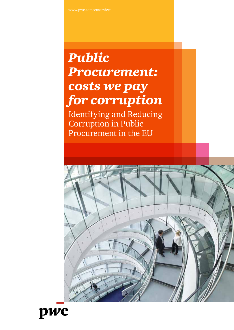# *Public Procurement: costs we pay for corruption*

Identifying and Reducing Corruption in Public Procurement in the EU



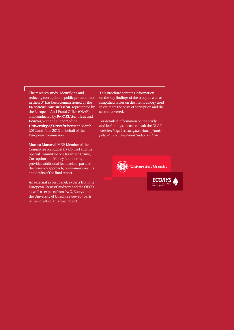The research study "Identifying and reducing corruption in public procurement in the EU" has been commissioned by the *European Commission*, represented by the European Anti-Fraud Office (OLAF), and conducted by *PwC EU Services* and *Ecorys*, with the support of the *University of Utrecht* between March 2012 and June 2013 on behalf of the European Commission.

**Monica Macovei**, MEP, Member of the Committee on Budgetary Control and the Special Committee on Organised Crime, Corruption and Money Laundering, provided additional feedback on parts of the research approach, preliminary results and drafts of the final report.

An external expert panel, experts from the European Court of Auditors and the OECD as well as experts from PwC, Ecorys and the University of Utrecht reviewed (parts of the) drafts of this final report.

This Brochure contains information on the key findings of the study as well as simplified tables on the methodology used to estimate the costs of corruption and the sectors covered.

For detailed information on the study and its findings, please consult the OLAF website: *http://ec.europa.eu/anti\_fraud/ policy/preventing-fraud/index\_en.htm*

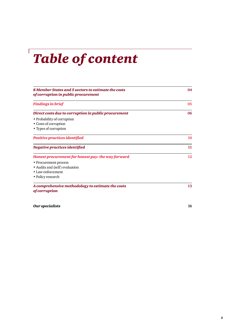# *Table of content*

| 8 Member States and 5 sectors to estimate the costs<br>of corruption in public procurement | 04 |  |
|--------------------------------------------------------------------------------------------|----|--|
| <b>Findings in brief</b>                                                                   | 05 |  |
| Direct costs due to corruption in public procurement                                       | 06 |  |
| • Probability of corruption                                                                |    |  |
| • Costs of corruption                                                                      |    |  |
| • Types of corruption                                                                      |    |  |
| Positive practices identified                                                              | 10 |  |
| Negative practices identified                                                              | 11 |  |
| Honest procurement for honest pay: the way forward                                         | 12 |  |
| • Procurement process                                                                      |    |  |
| • Audits and (self) evaluation                                                             |    |  |
| • Law enforcement                                                                          |    |  |
| • Policy research                                                                          |    |  |
| A comprehensive methodology to estimate the costs<br><i>of corruption</i>                  | 13 |  |

*Our specialists* **16**

 $\sqrt{ }$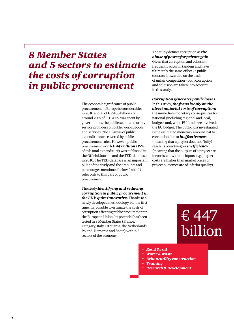# *8 Member States and 5 sectors to estimate the costs of corruption in public procurement*

The economic significance of public procurement in Europe is considerable: in 2010 a total of € 2 406 billion - or around 20% of EU GDP - was spent by governments, the public sector and utility service providers on public works, goods and services. Not all areas of public expenditure are covered by public procurement rules. However, public procurement worth *€ 447 billion* (19% of this total expenditure) was published in the Official Journal and the TED-database in 2010. The TED-database is an important pillar of the study and the amounts and percentages mentioned below (table 1) refer only to this part of public procurement.

The study *Identifying and reducing corruption in public procurement in the EU* is *quite innovative.* Thanks to a newly developed methodology, for the first time it is possible to estimate the costs of corruption affecting public procurement in the European Union. Its potential has been tested in 8 Member States (France, Hungary, Italy, Lithuania, the Netherlands, Poland, Romania and Spain) within 5 sectors of the economy:

The study defines corruption as *the abuse of power for private gain.* Given that corruption and collusion frequently occur in tandem and have ultimately the same effect - a public contract is awarded on the basis of unfair competition - both corruption and collusion are taken into account in this study.

### *Corruption generates public losses.* In this study, *the focus is only on the*

*direct material costs of corruption:* the immediate monetary consequences for national (including regional and local) budgets and, when EU funds are involved, the EU budget. The public loss investigated is the estimated monetary amount lost to corruption due to *ineffectiveness*  (meaning that a project does not (fully) reach its objectives) or *inefficiency*  (meaning that the outputs of a project are inconsistent with the inputs, e.g. project costs are higher than market prices or project outcomes are of inferior quality).

# € 447 billion

- *• Road & rail*
- *• Water & waste*
- *• Urban/utility construction*
- *• Training*
- *• Research & Development*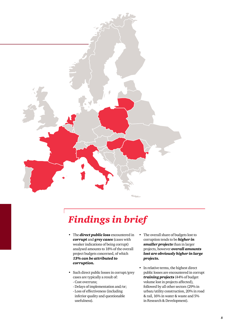

# *Findings in brief*

- The *direct public loss* encountered in *corrupt* and *grey cases* (cases with weaker indications of being corrupt) analysed amounts to 18% of the overall project budgets concerned, of which *13% can be attributed to corruption.*
- Such direct public losses in corrupt/grey cases are typically a result of:
	- Cost overruns;
	- Delays of implementation and/or;
	- Loss of effectiveness (including inferior quality and questionable usefulness).
- The overall share of budgets lost to corruption tends to be *higher in smaller projects* than in larger projects, however *overall amounts lost are obviously higher in large projects.*
- In relative terms, the highest direct public losses are encountered in corrupt *training projects* (44% of budget volume lost in projects affected), followed by all other sectors (29% in urban/utility construction, 20% in road & rail, 16% in water & waste and 5% in Research & Development).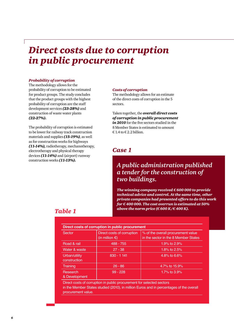# *Direct costs due to corruption in public procurement*

#### *Probability of corruption*

The methodology allows for the probability of corruption to be estimated for product groups. The study concludes that the product groups with the highest probability of corruption are the staff development services *(23-28%)* and construction of waste water plants *(22-27%).*

The probability of corruption is estimated to be lower for railway track construction materials and supplies *(15-19%)*, as well as for construction works for highways *(11-14%),* radiotherapy, mechanotherapy, electrotherapy and physical therapy devices *(11-14%)* and (airport) runway construction works *(11-13%).* 

#### *Costs of corruption*

The methodology allows for an estimate of the direct costs of corruption in the 5 sectors.

Taken together, the *overall direct costs of corruption in public procurement in 2010* for the five sectors studied in the 8 Member States is estimated to amount  $£ 1.4$  to  $£ 2.2$  billion.

### *Case 1*

## *A public administration published a tender for the construction of two buildings.*

*The winning company received € 600 000 to provide technical advice and control. At the same time, other private companies had presented offers to do this work for € 400 000. The cost overrun is estimated at 50% above the norm price (* $\epsilon$  *600 K/* $\epsilon$  *400 K).* 

### *Table 1*

| Direct costs of corruption in public procurement |                                                        |                                                                            |  |  |  |
|--------------------------------------------------|--------------------------------------------------------|----------------------------------------------------------------------------|--|--|--|
| Sector                                           | Direct costs of corruption<br>(in million $\epsilon$ ) | % of the overall procurement value<br>in the sector in the 8 Member States |  |  |  |
| Road & rail                                      | 488 - 755                                              | 1.9% to 2.9%                                                               |  |  |  |
| Water & waste                                    | $27 - 38$                                              | 1.8% to $2.5%$                                                             |  |  |  |
| Urban/utility<br>construction                    | $830 - 1141$                                           | 4.8% to 6.6%                                                               |  |  |  |
| Training                                         | $26 - 86$                                              | 4.7% to 15.9%                                                              |  |  |  |
| Research<br>& Development                        | $99 - 228$                                             | 1.7% to 3.9%                                                               |  |  |  |

Direct costs of corruption in public procurement for selected sectors in the Member States studied (2010), in million Euros and in percentages of the overall procurement value.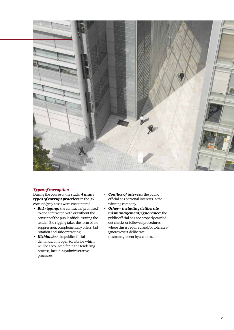

### *Types of corruption*

During the course of the study, *4 main types of corrupt practices* in the 96 corrupt/grey cases were encountered:

- *Bid rigging:* the contract is 'promised' to one contractor, with or without the consent of the public official issuing the tender. Bid rigging takes the form of bid suppression, complementary offers, bid rotation and subcontracting.
- *Kickbacks:* the public official demands, or is open to, a bribe which will be accounted for in the tendering process, including administrative processes.
- *Conflict of interest:* the public official has personal interests in the winning company.
- *Other including deliberate mismanagement/ignorance:* the public official has not properly carried out checks or followed procedures where this is required and/or tolerates/ ignores overt deliberate mismanagement by a contractor.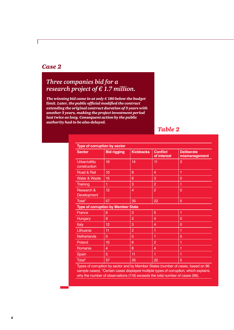### *Case 2*

## *Three companies bid for a research project of € 1.7 million.*

*The winning bid came in at only € 180 below the budget limit. Later, the public official modified the contract extending the original contract duration of 3 years with another 3 years, making the project investment period last twice as long. Consequent action by the public authority had to be also delayed.*

### *Table 2*

| Type of corruption by sector                                                  |                                |                  |                                                                                                                                                                                                                                                                                                        |                                    |  |  |
|-------------------------------------------------------------------------------|--------------------------------|------------------|--------------------------------------------------------------------------------------------------------------------------------------------------------------------------------------------------------------------------------------------------------------------------------------------------------|------------------------------------|--|--|
| <b>Sector</b>                                                                 | <b>Bid rigging</b>             | <b>Kickbacks</b> | <b>Conflict</b><br>of interest                                                                                                                                                                                                                                                                         | <b>Deliberate</b><br>mismanagement |  |  |
| Urban/utility<br>construction                                                 | 19                             | 14               | 11                                                                                                                                                                                                                                                                                                     | 3                                  |  |  |
| Road & Rail                                                                   | 10                             | 8                | 4                                                                                                                                                                                                                                                                                                      | 1                                  |  |  |
| <b>Water &amp; Waste</b>                                                      | 15                             | 6                | 3                                                                                                                                                                                                                                                                                                      | $\overline{0}$                     |  |  |
| <b>Training</b>                                                               | 1                              | 3                | $\overline{2}$                                                                                                                                                                                                                                                                                         | 1                                  |  |  |
| Research &<br>Development                                                     | 12                             | 4                | $\overline{2}$                                                                                                                                                                                                                                                                                         | $\overline{0}$                     |  |  |
| Total*                                                                        | 57                             | 35               | 22                                                                                                                                                                                                                                                                                                     | 5                                  |  |  |
| <b>Type of corruption by Member State</b>                                     |                                |                  |                                                                                                                                                                                                                                                                                                        |                                    |  |  |
| France                                                                        | 6                              | 3                | 5                                                                                                                                                                                                                                                                                                      | 1                                  |  |  |
| <b>Hungary</b>                                                                | 9                              | $\overline{2}$   | $\overline{4}$                                                                                                                                                                                                                                                                                         | $\overline{0}$                     |  |  |
| Italy                                                                         | 12                             | 3                | 4                                                                                                                                                                                                                                                                                                      | $\overline{0}$                     |  |  |
| Lithuania                                                                     | 11                             | $\overline{2}$   | 1                                                                                                                                                                                                                                                                                                      | 1                                  |  |  |
| <b>Netherlands</b>                                                            | $\overline{0}$                 | $\overline{0}$   | 1                                                                                                                                                                                                                                                                                                      | $\overline{0}$                     |  |  |
| Poland                                                                        | 10                             | 6                | $\overline{2}$                                                                                                                                                                                                                                                                                         | 1                                  |  |  |
| Romania                                                                       | $\overline{4}$                 | 8                | 4                                                                                                                                                                                                                                                                                                      | 1                                  |  |  |
| Spain                                                                         | 5                              | 11               | 1                                                                                                                                                                                                                                                                                                      | 1                                  |  |  |
| Total*<br>the company's company's pro-<br>the contract of the contract of the | 57<br><b>Contract Contract</b> | 35               | 22<br>$\mathbf{a}$ and $\mathbf{a}$ and $\mathbf{a}$ and $\mathbf{a}$ and $\mathbf{a}$ and $\mathbf{a}$ and $\mathbf{a}$ and $\mathbf{a}$ and $\mathbf{a}$ and $\mathbf{a}$ and $\mathbf{a}$ and $\mathbf{a}$ and $\mathbf{a}$ and $\mathbf{a}$ and $\mathbf{a}$ and $\mathbf{a}$ and $\mathbf{a}$ and | 5<br><b><i>CALCULAR</i></b>        |  |  |

Types of corruption by sector and by Member States (number of cases, based on 96 sample cases). \*Certain cases displayed multiple types of corruption, which explains why the number of observations (119) exceeds the total number of cases (96).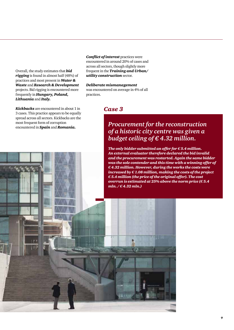Overall, the study estimates that *bid rigging* is found in almost half (48%) of practices and most present in *Water & Waste* and *Research & Development* projects. Bid rigging is encountered more frequently in *Hungary, Poland, Lithuania* and *Italy.*

*Kickbacks* are encountered in about 1 in 3 cases. This practice appears to be equally spread across all sectors. Kickbacks are the most frequent form of corruption encountered in *Spain* and *Romania.*

*Conflict of interest* practices were encountered in around 20% of cases and across all sectors, though slightly more frequent in the *Training and Urban/ utility construction* sector.

*Deliberate mismanagement* was encountered on average in 4% of all practices.

### *Case 3*

## *Procurement for the reconstruction of a historic city centre was given a budget ceiling of € 4.32 million.*

*The only bidder submitted an offer for € 5.4 million. An external evaluator therefore declared the bid invalid and the procurement was restarted. Again the same bidder was the sole contender and this time with a winning offer of € 4.32 million. However, during the works the costs were increased by € 1.08 million, making the costs of the project € 5.4 million (the price of the original offer). The cost overrun is estimated at 25% above the norm price (€ 5.4 mln. / € 4.32 mln.)*

*9*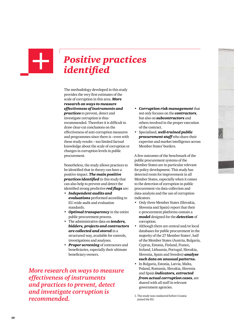

# *Positive practices identified*

The methodology developed in this study provides the very first estimates of the scale of corruption in this area. *More research on ways to measure effectiveness of instruments and practices* to prevent, detect and investigate corruption is thus recommended. Therefore it is difficult to draw clear-cut conclusions on the effectiveness of anti-corruption measures and programmes since there is –even with these study results – too limited factual knowledge about the scale of corruption or changes in corruption levels in public procurement.

Nonetheless, the study allows practices to be identified that in theory can have a positive impact. *The main positive practices identified* in this study that can also help to prevent and detect the identified strong predictive *red flags* are:

- *Independent audits and evaluations* performed according to EU-wide audit and evaluation standards.
- *Optimal transparency* in the entire public procurement process.
- The administrative data on *tenders, bidders, projects and contractors are collected and stored* in a structured way, available for controls, investigations and analyses.
- *Proper screening* of contractors and beneficiaries, especially their ultimate beneficiary owners.

*More research on ways to measure effectiveness of instruments and practices to prevent, detect and investigate corruption is recommended.* 

- *Corruption risk management* that not only focuses on the *contractors*, but also on *subcontractors* and others involved in the proper execution of the contract.
- Specialised, *well-trained public*  **procurement staff** who share their expertise and market intelligence across Member States' borders.

A few outcomes of the benchmark of the public procurement systems of the Member States are in particular relevant for policy development. This study has detected room for improvement in all Member States, especially when it comes to the detection of corruption in public procurement via data-collection and data-analysis and the use of corruptionindicators.

- Only three Member States (Slovakia, Slovenia and Spain) report that their e-procurement platforms contain a *model* designed for the *detection* of corruption.
- Although there are central and/or local databases for public procurement in the majority of the 27 Member States<sup>1</sup>, half of the Member States (Austria, Bulgaria, Cyprus, Estonia, Finland, France, Ireland, Lithuania, Portugal, Slovakia, Slovenia, Spain and Sweden) *analyse such data on unusual patterns.*
- In Bulgaria, Estonia, Latvia, Malta, Poland, Romania, Slovakia, Slovenia and Spain *indicators, extracted from actual corruption cases*, are shared with all staff in relevant government agencies.

<sup>1.</sup> The study was conducted before Croatia joined the EU.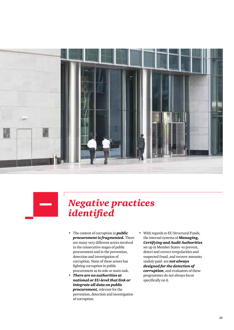



# *Negative practices identified*

- The context of corruption in *public procurement is fragmented.* There are many very different actors involved in the consecutive stages of public procurement and in the prevention, detection and investigation of corruption. None of these actors has fighting corruption in public procurement as its sole or main task.
- *There are no authorities at national or EU-level that link or integrate all data on public procurement,* relevant for the prevention, detection and investigation of corruption.
- With regards to EU Structural Funds, the internal systems of *Managing, Certifying and Audit Authorities* set up in Member States -to prevent, detect and correct irregularities and suspected fraud, and recover amounts unduly paid- are *not always designed for the detection of corruption*, and evaluators of these programmes do not always focus specifically on it.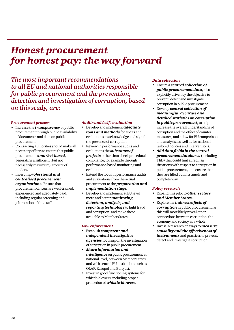# *Honest procurement for honest pay: the way forward*

*The most important recommendations to all EU and national authorities responsible for public procurement and the prevention, detection and investigation of corruption, based on this study, are:*

### *Procurement process*

- Increase the *transparency* of public procurement through public availability of documents and data on public procurement.
- Contracting authorities should make all necessary efforts to ensure that public procurement is *market-based*, generating a sufficient (but not necessarily maximum) amount of tenders.
- Invest in *professional and centralised procurement organisations.* Ensure that procurement officers are well-trained, experienced and adequately paid, including regular screening and job-rotation of this staff.

### *Audits and (self) evaluation*

- Develop and implement *adequate tools and methods* for audits and evaluations to acknowledge and signal the presence of corruption.
- Review in performance audits and evaluations the *substance of projects* rather than check procedural compliance, for example through performance-based monitoring and evaluation.
- Extend the focus in performance audits and evaluations from the actual procurement to the *preparation and implementation stage.*
- Develop and implement at EU level more and better *monitoring, detection, analysis, and reporting technology* to fight fraud and corruption, and make these available to Member States.

### *Law enforcement*

- Establish *competent and independent investigative agencies* focusing on the investigation of corruption in public procurement.
- *Share information and*  **intelligence** on public procurement at national level, between Member States and with central EU institutions such as OLAF, Europol and Eurojust.
- Invest in good functioning systems for whistle-blowers, including proper protection of *whistle-blowers.*

### *Data collection*

- Ensure a *central collection of public procurement data*, also explicitly driven by the objective to prevent, detect and investigate corruption in public procurement.
- Develop *central collection of meaningful, accurate and detailed statistics on corruption in public procurement*, to help increase the overall understanding of corruption and the effect of counter measures, and allow for EU comparison and analysis, as well as for national, tailored policies and interventions.
- *Add data fields in the central procurement databases* (including TED) that could hint at red flag situations with respect to corruption in public procurement, and ensure that they are filled out in a timely and complete way.

### *Policy research*

- Expand this pilot to *other sectors and Member States.*
- Explore the *indirect effects of corruption* in public procurement, as this will most likely reveal other connections between corruption, the economy and society as a whole.
- Invest in research on ways to *measure causality and the effectiveness of instruments* and practices to prevent, detect and investigate corruption.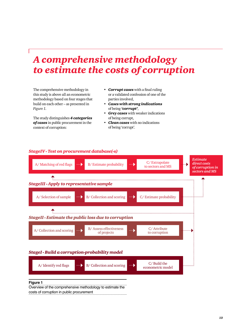# *A comprehensive methodology to estimate the costs of corruption*

The comprehensive methodology in this study is above all an econometric methodology based on four stages that build on each other – as presented in *Figure 1*.

The study distinguishes *4 categories of cases* in public procurement in the context of corruption:

- *Corrupt cases* with a final ruling or a validated confession of one of the parties involved,
- *Cases with strong indications* of being *'corrupt'*,
- *Grey cases* with weaker indications of being corrupt,
- *Clean cases* with no indications of being 'corrupt'.



## *StageIV - Test on procurement database(-s)*

### **Figure 1**

Overview of the comprehensive methodology to estimate the costs of corruption in public procurement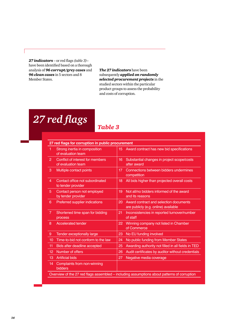*27 indicators* – or red flags *(table 3)*– have been identified based on a thorough analysis of *96 corrupt/grey cases* and *96 clean cases* in 5 sectors and 8 Member States.

*The 27 indicators* have been subsequently *applied on randomly selected procurement projects* in the studied sectors within the particular product groups to assess the probability and costs of corruption.

# *27 red flags*

### *Table 3*

|                | 27 red flags for corruption in public procurement      |    |                                                                                             |  |  |
|----------------|--------------------------------------------------------|----|---------------------------------------------------------------------------------------------|--|--|
| 1              | Strong inertia in composition<br>of evaluation team    | 15 | Award contract has new bid specifications                                                   |  |  |
| $\overline{a}$ | Conflict of interest for members<br>of evaluation team | 16 | Substantial changes in project scope/costs<br>after award                                   |  |  |
| 3              | Multiple contact points                                | 17 | Connections between bidders undermines<br>competition                                       |  |  |
| 4              | Contact office not subordinated<br>to tender provider  | 18 | All bids higher than projected overall costs                                                |  |  |
| 5              | Contact person not employed<br>by tender provider      | 19 | Not all/no bidders informed of the award<br>and its reasons                                 |  |  |
| 6              | Preferred supplier indications                         | 20 | Award contract and selection documents<br>are publicly (e.g. online) available              |  |  |
| 7              | Shortened time span for bidding<br>process             | 21 | Inconsistencies in reported turnover/number<br>of staff                                     |  |  |
| 8              | <b>Accelerated tender</b>                              | 22 | Winning company not listed in Chamber<br>of Commerce                                        |  |  |
| 9              | Tender exceptionally large                             | 23 | No EU funding involved                                                                      |  |  |
| 10             | Time-to-bid not conform to the law                     | 24 | No public funding from Member States                                                        |  |  |
| 11             | Bids after deadline accepted                           | 25 | Awarding authority not filled in all fields in TED                                          |  |  |
| 12             | Number of offers                                       | 26 | Audit certificates by auditor without credentials                                           |  |  |
| 13             | <b>Artificial bids</b>                                 | 27 | Negative media coverage                                                                     |  |  |
| 14             | Complaints from non-winning<br>bidders                 |    |                                                                                             |  |  |
|                |                                                        |    | Overview of the 27 red flags assembled - including assumptions about patterns of corruption |  |  |